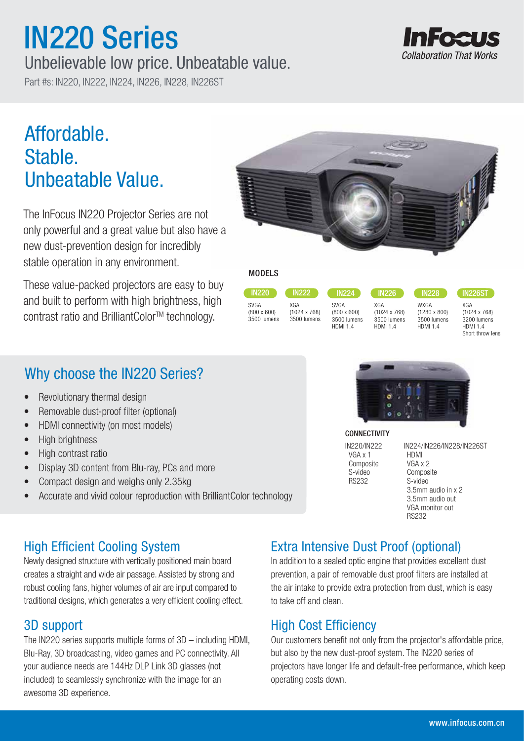# IN220 Series

## Unbelievable low price. Unbeatable value.

Part #s: IN220, IN222, IN224, IN226, IN228, IN226ST

# **Collaboration That Works**

# Affordable. Stable. Unbeatable Value.

The InFocus IN220 Projector Series are not only powerful and a great value but also have a new dust-prevention design for incredibly stable operation in any environment.

These value-packed projectors are easy to buy and built to perform with high brightness, high contrast ratio and BrilliantColor™ technology.

## Why choose the IN220 Series?

- Revolutionary thermal design
- Removable dust-proof filter (optional)
- HDMI connectivity (on most models)
- High brightness
- High contrast ratio
- Display 3D content from Blu-ray, PCs and more
- Compact design and weighs only 2.35kg
- Accurate and vivid colour reproduction with BrilliantColor technology



#### MODELS

| <b>IN220</b>               | <b>IN222</b>               | <b>IN224</b>                      | <b>IN226</b>                   |  |
|----------------------------|----------------------------|-----------------------------------|--------------------------------|--|
| SVGA<br>$(800 \times 600)$ | XGA<br>$(1024 \times 768)$ | <b>SVGA</b><br>$(800 \times 600)$ | XGA<br>$(1024 \times 768)$     |  |
| 3500 lumens                | 3500 lumens                | 3500 lumens<br><b>HDMI 14</b>     | 3500 lumens<br><b>HDMI 1 4</b> |  |

HDMI 1.4 HDMI 1.4

IN228 WXGA (1280 x 800) 3500 lumens

IN226ST

XGA (1024 x 768) 3200 lumens HDMI 1.4 Short throw lens



#### **CONNECTIVITY**

IN220/IN222 VGA x 1 **Composite**  S-video RS232

IN224/IN226/IN228/IN226ST HDMI VGA x 2 Composite S-video 3.5mm audio in x 2 3.5mm audio out VGA monitor out RS232

### High Efficient Cooling System

Newly designed structure with vertically positioned main board creates a straight and wide air passage. Assisted by strong and robust cooling fans, higher volumes of air are input compared to traditional designs, which generates a very efficient cooling effect.

#### 3D support

The IN220 series supports multiple forms of 3D – including HDMI, Blu-Ray, 3D broadcasting, video games and PC connectivity. All your audience needs are 144Hz DLP Link 3D glasses (not included) to seamlessly synchronize with the image for an awesome 3D experience.

### Extra Intensive Dust Proof (optional)

In addition to a sealed optic engine that provides excellent dust prevention, a pair of removable dust proof filters are installed at the air intake to provide extra protection from dust, which is easy to take off and clean.

#### High Cost Efficiency

Our customers benefit not only from the projector's affordable price, but also by the new dust-proof system. The IN220 series of projectors have longer life and default-free performance, which keep operating costs down.